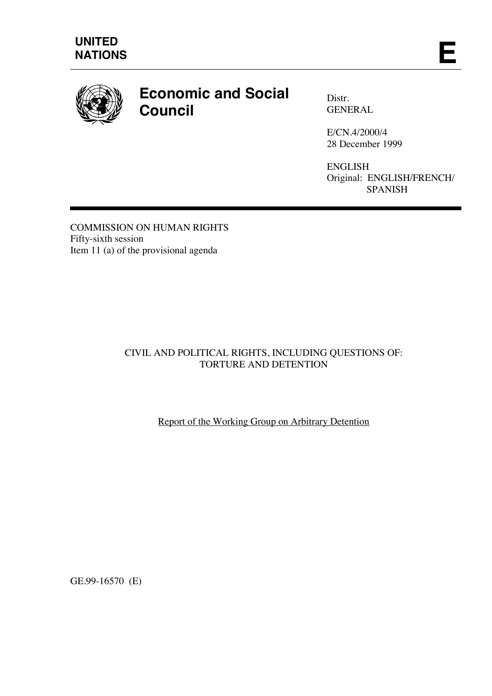

# **Economic and Social Council**

Distr. GENERAL

E/CN.4/2000/4 28 December 1999

ENGLISH Original: ENGLISH/FRENCH/ SPANISH

COMMISSION ON HUMAN RIGHTS Fifty-sixth session Item 11 (a) of the provisional agenda

# CIVIL AND POLITICAL RIGHTS, INCLUDING QUESTIONS OF: TORTURE AND DETENTION

Report of the Working Group on Arbitrary Detention

GE.99-16570 (E)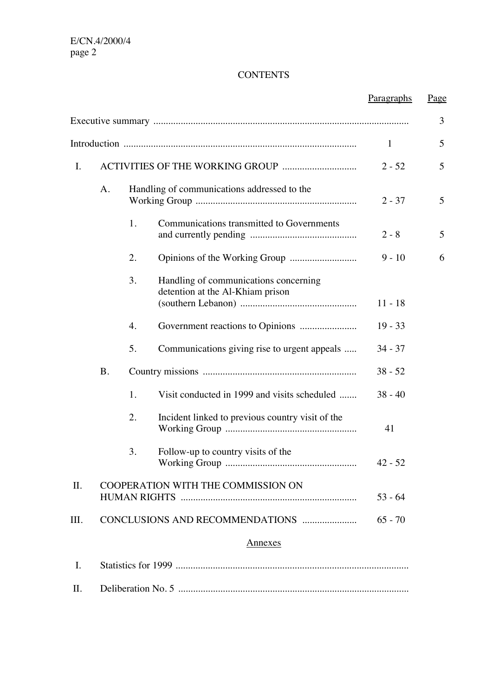# **CONTENTS**

|     |           |                                             |                                                                           | Paragraphs | <u>Page</u> |
|-----|-----------|---------------------------------------------|---------------------------------------------------------------------------|------------|-------------|
|     |           |                                             |                                                                           |            | 3           |
|     |           |                                             |                                                                           | 1          | 5           |
| I.  |           |                                             | $2 - 52$                                                                  | 5          |             |
|     | A.        | Handling of communications addressed to the |                                                                           | $2 - 37$   | 5           |
|     |           | 1.                                          | Communications transmitted to Governments                                 | $2 - 8$    | 5           |
|     |           | 2.                                          |                                                                           | $9 - 10$   | 6           |
|     |           | 3.                                          | Handling of communications concerning<br>detention at the Al-Khiam prison | $11 - 18$  |             |
|     |           | 4.                                          |                                                                           | $19 - 33$  |             |
|     |           | 5.                                          | Communications giving rise to urgent appeals                              | $34 - 37$  |             |
|     | <b>B.</b> |                                             |                                                                           | $38 - 52$  |             |
|     |           | 1.                                          | Visit conducted in 1999 and visits scheduled                              | $38 - 40$  |             |
|     |           | 2.                                          | Incident linked to previous country visit of the                          | 41         |             |
|     |           | 3.                                          | Follow-up to country visits of the                                        | $42 - 52$  |             |
| II. |           | COOPERATION WITH THE COMMISSION ON          |                                                                           | $53 - 64$  |             |
| Ш.  |           |                                             | CONCLUSIONS AND RECOMMENDATIONS                                           | $65 - 70$  |             |
|     |           |                                             | <b>Annexes</b>                                                            |            |             |
| I.  |           |                                             |                                                                           |            |             |
| П.  |           |                                             |                                                                           |            |             |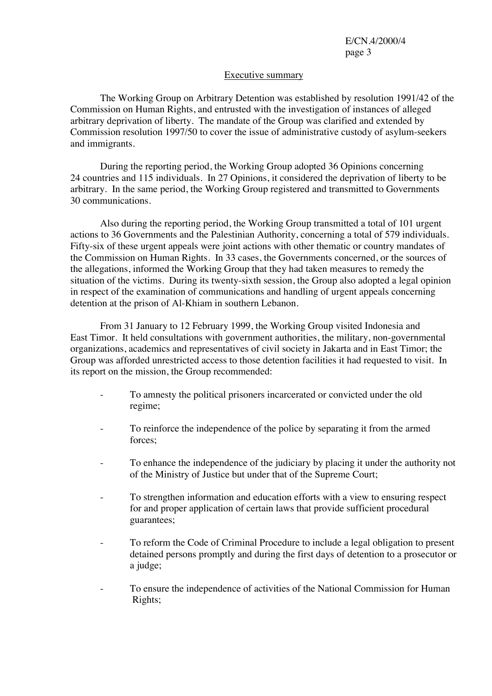#### Executive summary

The Working Group on Arbitrary Detention was established by resolution 1991/42 of the Commission on Human Rights, and entrusted with the investigation of instances of alleged arbitrary deprivation of liberty. The mandate of the Group was clarified and extended by Commission resolution 1997/50 to cover the issue of administrative custody of asylum-seekers and immigrants.

During the reporting period, the Working Group adopted 36 Opinions concerning 24 countries and 115 individuals. In 27 Opinions, it considered the deprivation of liberty to be arbitrary. In the same period, the Working Group registered and transmitted to Governments 30 communications.

Also during the reporting period, the Working Group transmitted a total of 101 urgent actions to 36 Governments and the Palestinian Authority, concerning a total of 579 individuals. Fifty-six of these urgent appeals were joint actions with other thematic or country mandates of the Commission on Human Rights. In 33 cases, the Governments concerned, or the sources of the allegations, informed the Working Group that they had taken measures to remedy the situation of the victims. During its twenty-sixth session, the Group also adopted a legal opinion in respect of the examination of communications and handling of urgent appeals concerning detention at the prison of Al-Khiam in southern Lebanon.

From 31 January to 12 February 1999, the Working Group visited Indonesia and East Timor. It held consultations with government authorities, the military, non-governmental organizations, academics and representatives of civil society in Jakarta and in East Timor; the Group was afforded unrestricted access to those detention facilities it had requested to visit. In its report on the mission, the Group recommended:

- To amnesty the political prisoners incarcerated or convicted under the old regime;
- To reinforce the independence of the police by separating it from the armed forces;
- To enhance the independence of the judiciary by placing it under the authority not of the Ministry of Justice but under that of the Supreme Court;
- To strengthen information and education efforts with a view to ensuring respect for and proper application of certain laws that provide sufficient procedural guarantees;
- To reform the Code of Criminal Procedure to include a legal obligation to present detained persons promptly and during the first days of detention to a prosecutor or a judge;
- To ensure the independence of activities of the National Commission for Human Rights;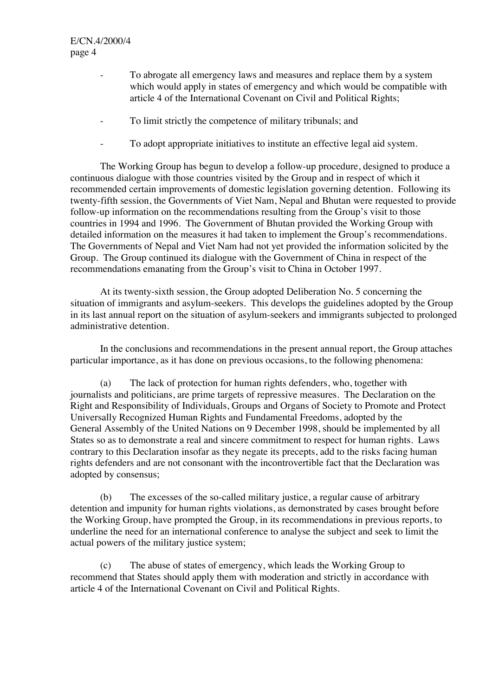- To abrogate all emergency laws and measures and replace them by a system which would apply in states of emergency and which would be compatible with article 4 of the International Covenant on Civil and Political Rights;
- To limit strictly the competence of military tribunals; and
- To adopt appropriate initiatives to institute an effective legal aid system.

The Working Group has begun to develop a follow-up procedure, designed to produce a continuous dialogue with those countries visited by the Group and in respect of which it recommended certain improvements of domestic legislation governing detention. Following its twenty-fifth session, the Governments of Viet Nam, Nepal and Bhutan were requested to provide follow-up information on the recommendations resulting from the Group's visit to those countries in 1994 and 1996. The Government of Bhutan provided the Working Group with detailed information on the measures it had taken to implement the Group's recommendations. The Governments of Nepal and Viet Nam had not yet provided the information solicited by the Group. The Group continued its dialogue with the Government of China in respect of the recommendations emanating from the Group's visit to China in October 1997.

At its twenty-sixth session, the Group adopted Deliberation No. 5 concerning the situation of immigrants and asylum-seekers. This develops the guidelines adopted by the Group in its last annual report on the situation of asylum-seekers and immigrants subjected to prolonged administrative detention.

In the conclusions and recommendations in the present annual report, the Group attaches particular importance, as it has done on previous occasions, to the following phenomena:

(a) The lack of protection for human rights defenders, who, together with journalists and politicians, are prime targets of repressive measures. The Declaration on the Right and Responsibility of Individuals, Groups and Organs of Society to Promote and Protect Universally Recognized Human Rights and Fundamental Freedoms, adopted by the General Assembly of the United Nations on 9 December 1998, should be implemented by all States so as to demonstrate a real and sincere commitment to respect for human rights. Laws contrary to this Declaration insofar as they negate its precepts, add to the risks facing human rights defenders and are not consonant with the incontrovertible fact that the Declaration was adopted by consensus;

(b) The excesses of the so-called military justice, a regular cause of arbitrary detention and impunity for human rights violations, as demonstrated by cases brought before the Working Group, have prompted the Group, in its recommendations in previous reports, to underline the need for an international conference to analyse the subject and seek to limit the actual powers of the military justice system;

(c) The abuse of states of emergency, which leads the Working Group to recommend that States should apply them with moderation and strictly in accordance with article 4 of the International Covenant on Civil and Political Rights.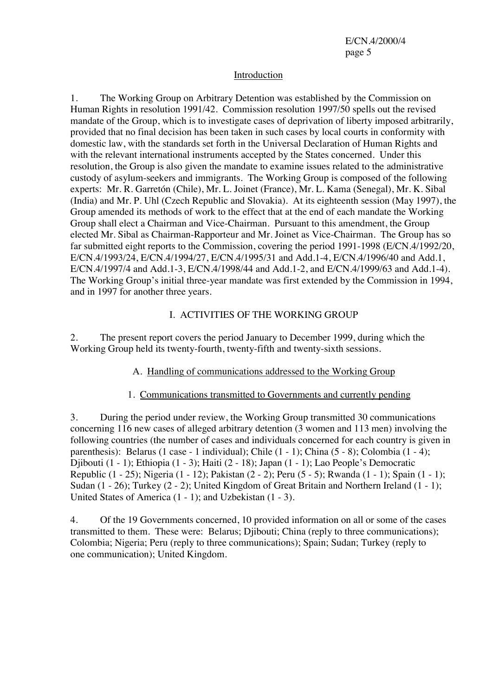#### Introduction

1. The Working Group on Arbitrary Detention was established by the Commission on Human Rights in resolution 1991/42. Commission resolution 1997/50 spells out the revised mandate of the Group, which is to investigate cases of deprivation of liberty imposed arbitrarily, provided that no final decision has been taken in such cases by local courts in conformity with domestic law, with the standards set forth in the Universal Declaration of Human Rights and with the relevant international instruments accepted by the States concerned. Under this resolution, the Group is also given the mandate to examine issues related to the administrative custody of asylum-seekers and immigrants. The Working Group is composed of the following experts: Mr. R. Garretón (Chile), Mr. L. Joinet (France), Mr. L. Kama (Senegal), Mr. K. Sibal (India) and Mr. P. Uhl (Czech Republic and Slovakia). At its eighteenth session (May 1997), the Group amended its methods of work to the effect that at the end of each mandate the Working Group shall elect a Chairman and Vice-Chairman. Pursuant to this amendment, the Group elected Mr. Sibal as Chairman-Rapporteur and Mr. Joinet as Vice-Chairman. The Group has so far submitted eight reports to the Commission, covering the period 1991-1998 (E/CN.4/1992/20, E/CN.4/1993/24, E/CN.4/1994/27, E/CN.4/1995/31 and Add.1-4, E/CN.4/1996/40 and Add.1, E/CN.4/1997/4 and Add.1-3, E/CN.4/1998/44 and Add.1-2, and E/CN.4/1999/63 and Add.1-4). The Working Group's initial three-year mandate was first extended by the Commission in 1994, and in 1997 for another three years.

## I. ACTIVITIES OF THE WORKING GROUP

2. The present report covers the period January to December 1999, during which the Working Group held its twenty-fourth, twenty-fifth and twenty-sixth sessions.

#### A. Handling of communications addressed to the Working Group

#### 1. Communications transmitted to Governments and currently pending

3. During the period under review, the Working Group transmitted 30 communications concerning 116 new cases of alleged arbitrary detention (3 women and 113 men) involving the following countries (the number of cases and individuals concerned for each country is given in parenthesis): Belarus (1 case - 1 individual); Chile (1 - 1); China (5 - 8); Colombia (1 - 4); Djibouti (1 - 1); Ethiopia (1 - 3); Haiti (2 - 18); Japan (1 - 1); Lao People's Democratic Republic (1 - 25); Nigeria (1 - 12); Pakistan (2 - 2); Peru (5 - 5); Rwanda (1 - 1); Spain (1 - 1); Sudan (1 - 26); Turkey (2 - 2); United Kingdom of Great Britain and Northern Ireland (1 - 1); United States of America (1 - 1); and Uzbekistan (1 - 3).

4. Of the 19 Governments concerned, 10 provided information on all or some of the cases transmitted to them. These were: Belarus; Djibouti; China (reply to three communications); Colombia; Nigeria; Peru (reply to three communications); Spain; Sudan; Turkey (reply to one communication); United Kingdom.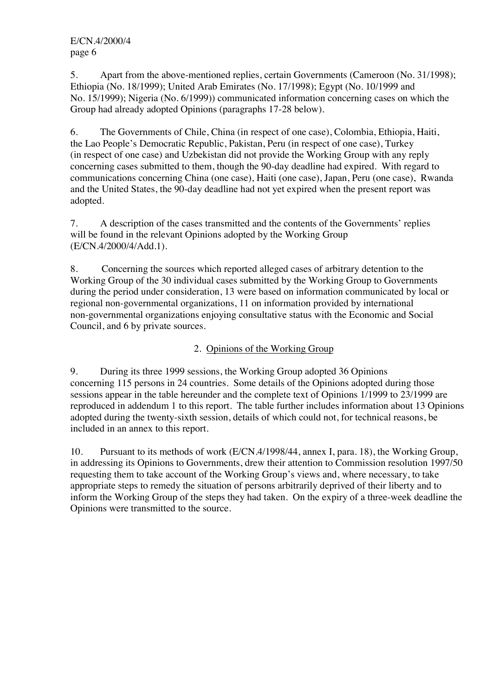5. Apart from the above-mentioned replies, certain Governments (Cameroon (No. 31/1998); Ethiopia (No. 18/1999); United Arab Emirates (No. 17/1998); Egypt (No. 10/1999 and No. 15/1999); Nigeria (No. 6/1999)) communicated information concerning cases on which the Group had already adopted Opinions (paragraphs 17-28 below).

6. The Governments of Chile, China (in respect of one case), Colombia, Ethiopia, Haiti, the Lao People's Democratic Republic, Pakistan, Peru (in respect of one case), Turkey (in respect of one case) and Uzbekistan did not provide the Working Group with any reply concerning cases submitted to them, though the 90-day deadline had expired. With regard to communications concerning China (one case), Haiti (one case), Japan, Peru (one case), Rwanda and the United States, the 90-day deadline had not yet expired when the present report was adopted.

7. A description of the cases transmitted and the contents of the Governments' replies will be found in the relevant Opinions adopted by the Working Group (E/CN.4/2000/4/Add.1).

8. Concerning the sources which reported alleged cases of arbitrary detention to the Working Group of the 30 individual cases submitted by the Working Group to Governments during the period under consideration, 13 were based on information communicated by local or regional non-governmental organizations, 11 on information provided by international non-governmental organizations enjoying consultative status with the Economic and Social Council, and 6 by private sources.

## 2. Opinions of the Working Group

9. During its three 1999 sessions, the Working Group adopted 36 Opinions concerning 115 persons in 24 countries. Some details of the Opinions adopted during those sessions appear in the table hereunder and the complete text of Opinions 1/1999 to 23/1999 are reproduced in addendum 1 to this report. The table further includes information about 13 Opinions adopted during the twenty-sixth session, details of which could not, for technical reasons, be included in an annex to this report.

10. Pursuant to its methods of work (E/CN.4/1998/44, annex I, para. 18), the Working Group, in addressing its Opinions to Governments, drew their attention to Commission resolution 1997/50 requesting them to take account of the Working Group's views and, where necessary, to take appropriate steps to remedy the situation of persons arbitrarily deprived of their liberty and to inform the Working Group of the steps they had taken. On the expiry of a three-week deadline the Opinions were transmitted to the source.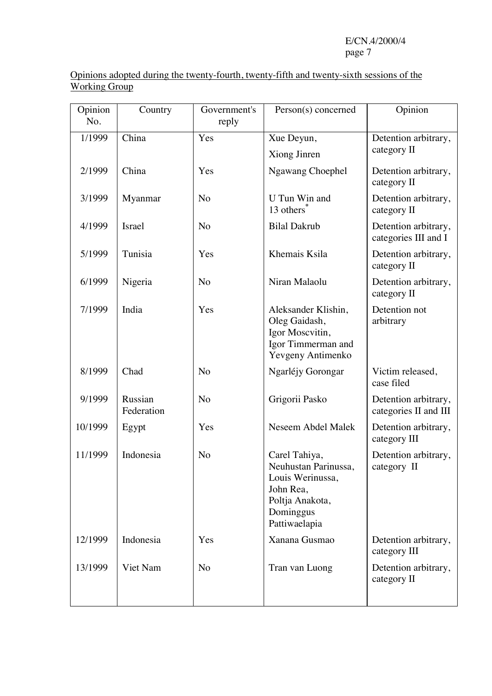Opinions adopted during the twenty-fourth, twenty-fifth and twenty-sixth sessions of the Working Group

| Opinion<br>No.  | Country               | Government's<br>reply | Person(s) concerned                                                                                                     | Opinion                                       |  |
|-----------------|-----------------------|-----------------------|-------------------------------------------------------------------------------------------------------------------------|-----------------------------------------------|--|
| China<br>1/1999 |                       | Yes                   | Xue Deyun,                                                                                                              | Detention arbitrary,                          |  |
|                 |                       |                       | Xiong Jinren                                                                                                            | category II                                   |  |
| 2/1999          | China                 | Yes                   | <b>Ngawang Choephel</b>                                                                                                 | Detention arbitrary,<br>category II           |  |
| 3/1999          | Myanmar               | N <sub>o</sub>        | U Tun Win and<br>13 others <sup>*</sup>                                                                                 | Detention arbitrary,<br>category II           |  |
| 4/1999          | <b>Israel</b>         | No                    | <b>Bilal Dakrub</b>                                                                                                     | Detention arbitrary,<br>categories III and I  |  |
| 5/1999          | Tunisia               | Yes                   | Khemais Ksila                                                                                                           | Detention arbitrary,<br>category II           |  |
| 6/1999          | Nigeria               | No                    | Niran Malaolu                                                                                                           | Detention arbitrary,<br>category II           |  |
| 7/1999          | India                 | Yes                   | Aleksander Klishin,<br>Oleg Gaidash,<br>Igor Moscvitin,<br>Igor Timmerman and<br>Yevgeny Antimenko                      | Detention not<br>arbitrary                    |  |
| 8/1999          | Chad                  | No                    | Ngarléjy Gorongar                                                                                                       | Victim released,<br>case filed                |  |
| 9/1999          | Russian<br>Federation | N <sub>o</sub>        | Grigorii Pasko                                                                                                          | Detention arbitrary,<br>categories II and III |  |
| 10/1999         | Egypt                 | Yes                   | Neseem Abdel Malek                                                                                                      | Detention arbitrary,<br>category III          |  |
| 11/1999         | Indonesia             | No                    | Carel Tahiya,<br>Neuhustan Parinussa,<br>Louis Werinussa,<br>John Rea,<br>Poltja Anakota,<br>Dominggus<br>Pattiwaelapia | Detention arbitrary,<br>category II           |  |
| 12/1999         | Indonesia             | Yes                   | Xanana Gusmao                                                                                                           | Detention arbitrary,<br>category III          |  |
| 13/1999         | Viet Nam              | No                    | Tran van Luong                                                                                                          | Detention arbitrary,<br>category II           |  |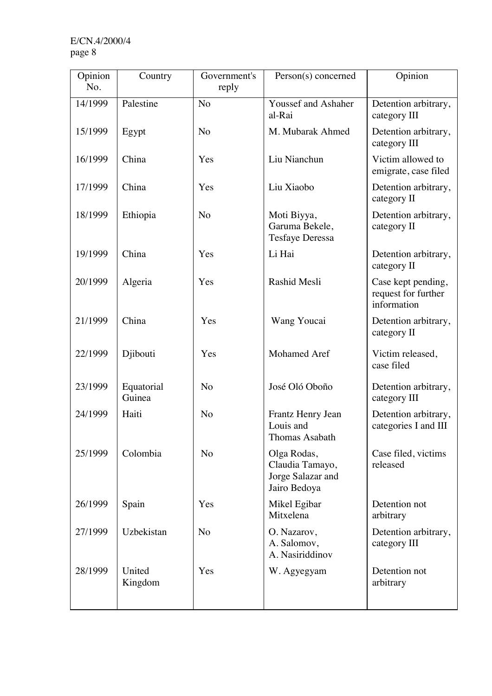| Opinion<br>No. | Country              | Government's<br>reply | Person(s) concerned                                                 | Opinion                                                  |
|----------------|----------------------|-----------------------|---------------------------------------------------------------------|----------------------------------------------------------|
| 14/1999        | Palestine            | N <sub>o</sub>        | <b>Youssef and Ashaher</b><br>al-Rai                                | Detention arbitrary,<br>category III                     |
| 15/1999        | Egypt                | N <sub>o</sub>        | M. Mubarak Ahmed                                                    | Detention arbitrary,<br>category III                     |
| 16/1999        | China                | Yes                   | Liu Nianchun                                                        | Victim allowed to<br>emigrate, case filed                |
| 17/1999        | China                | Yes                   | Liu Xiaobo                                                          | Detention arbitrary,<br>category II                      |
| 18/1999        | Ethiopia             | N <sub>o</sub>        | Moti Biyya,<br>Garuma Bekele,<br><b>Tesfaye Deressa</b>             | Detention arbitrary,<br>category II                      |
| 19/1999        | China                | Yes                   | Li Hai                                                              | Detention arbitrary,<br>category II                      |
| 20/1999        | Algeria              | Yes                   | Rashid Mesli                                                        | Case kept pending,<br>request for further<br>information |
| 21/1999        | China                | Yes                   | Wang Youcai                                                         | Detention arbitrary,<br>category II                      |
| 22/1999        | Djibouti             | Yes                   | Mohamed Aref                                                        | Victim released,<br>case filed                           |
| 23/1999        | Equatorial<br>Guinea | No                    | José Oló Oboño                                                      | Detention arbitrary,<br>category III                     |
| 24/1999        | Haiti                | N <sub>o</sub>        | Frantz Henry Jean<br>Louis and<br>Thomas Asabath                    | Detention arbitrary,<br>categories I and III             |
| 25/1999        | Colombia             | N <sub>o</sub>        | Olga Rodas,<br>Claudia Tamayo,<br>Jorge Salazar and<br>Jairo Bedoya | Case filed, victims<br>released                          |
| 26/1999        | Spain                | Yes                   | Mikel Egibar<br>Mitxelena                                           | Detention not<br>arbitrary                               |
| 27/1999        | Uzbekistan           | N <sub>o</sub>        | O. Nazarov,<br>A. Salomov,<br>A. Nasiriddinov                       | Detention arbitrary,<br>category III                     |
| 28/1999        | United<br>Kingdom    | Yes                   | W. Agyegyam                                                         | Detention not<br>arbitrary                               |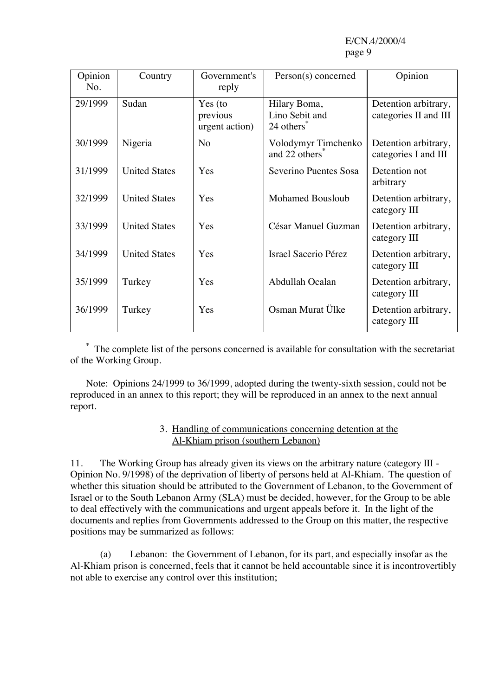| Opinion<br>No. | Country              | Government's<br>reply                 | Person(s) concerned                                      | Opinion                                       |
|----------------|----------------------|---------------------------------------|----------------------------------------------------------|-----------------------------------------------|
| 29/1999        | Sudan                | Yes (to<br>previous<br>urgent action) | Hilary Boma,<br>Lino Sebit and<br>24 others <sup>3</sup> | Detention arbitrary,<br>categories II and III |
| 30/1999        | Nigeria              | N <sub>o</sub>                        | Volodymyr Timchenko<br>and 22 others <sup>*</sup>        | Detention arbitrary,<br>categories I and III  |
| 31/1999        | <b>United States</b> | Yes                                   | Severino Puentes Sosa                                    | Detention not<br>arbitrary                    |
| 32/1999        | <b>United States</b> | Yes                                   | <b>Mohamed Bousloub</b>                                  | Detention arbitrary,<br>category III          |
| 33/1999        | <b>United States</b> | Yes                                   | César Manuel Guzman                                      | Detention arbitrary,<br>category III          |
| 34/1999        | <b>United States</b> | Yes                                   | Israel Sacerio Pérez                                     | Detention arbitrary,<br>category III          |
| 35/1999        | Turkey               | Yes                                   | Abdullah Ocalan                                          | Detention arbitrary,<br>category III          |
| 36/1999        | Turkey               | Yes                                   | Osman Murat Ülke                                         | Detention arbitrary,<br>category III          |

**\*** The complete list of the persons concerned is available for consultation with the secretariat of the Working Group.

Note: Opinions 24/1999 to 36/1999, adopted during the twenty-sixth session, could not be reproduced in an annex to this report; they will be reproduced in an annex to the next annual report.

#### 3. Handling of communications concerning detention at the Al-Khiam prison (southern Lebanon)

11. The Working Group has already given its views on the arbitrary nature (category III - Opinion No. 9/1998) of the deprivation of liberty of persons held at Al-Khiam. The question of whether this situation should be attributed to the Government of Lebanon, to the Government of Israel or to the South Lebanon Army (SLA) must be decided, however, for the Group to be able to deal effectively with the communications and urgent appeals before it. In the light of the documents and replies from Governments addressed to the Group on this matter, the respective positions may be summarized as follows:

(a) Lebanon: the Government of Lebanon, for its part, and especially insofar as the Al-Khiam prison is concerned, feels that it cannot be held accountable since it is incontrovertibly not able to exercise any control over this institution;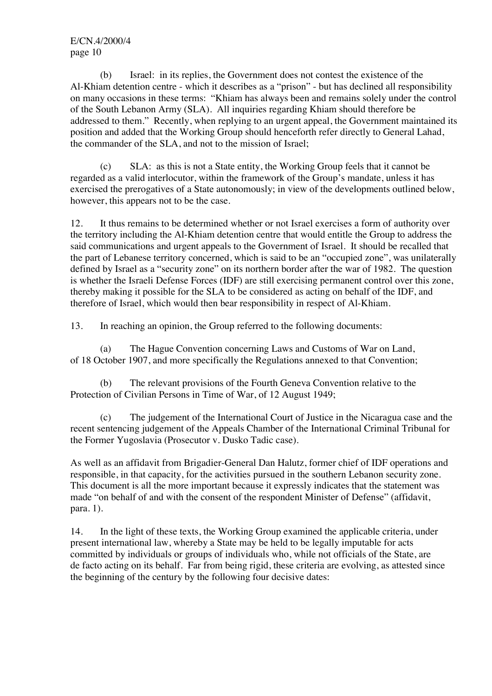(b) Israel: in its replies, the Government does not contest the existence of the Al-Khiam detention centre - which it describes as a "prison" - but has declined all responsibility on many occasions in these terms: "Khiam has always been and remains solely under the control of the South Lebanon Army (SLA). All inquiries regarding Khiam should therefore be addressed to them." Recently, when replying to an urgent appeal, the Government maintained its position and added that the Working Group should henceforth refer directly to General Lahad, the commander of the SLA, and not to the mission of Israel;

(c) SLA: as this is not a State entity, the Working Group feels that it cannot be regarded as a valid interlocutor, within the framework of the Group's mandate, unless it has exercised the prerogatives of a State autonomously; in view of the developments outlined below, however, this appears not to be the case.

12. It thus remains to be determined whether or not Israel exercises a form of authority over the territory including the Al-Khiam detention centre that would entitle the Group to address the said communications and urgent appeals to the Government of Israel. It should be recalled that the part of Lebanese territory concerned, which is said to be an "occupied zone", was unilaterally defined by Israel as a "security zone" on its northern border after the war of 1982. The question is whether the Israeli Defense Forces (IDF) are still exercising permanent control over this zone, thereby making it possible for the SLA to be considered as acting on behalf of the IDF, and therefore of Israel, which would then bear responsibility in respect of Al-Khiam.

13. In reaching an opinion, the Group referred to the following documents:

(a) The Hague Convention concerning Laws and Customs of War on Land, of 18 October 1907, and more specifically the Regulations annexed to that Convention;

(b) The relevant provisions of the Fourth Geneva Convention relative to the Protection of Civilian Persons in Time of War, of 12 August 1949;

(c) The judgement of the International Court of Justice in the Nicaragua case and the recent sentencing judgement of the Appeals Chamber of the International Criminal Tribunal for the Former Yugoslavia (Prosecutor v. Dusko Tadic case).

As well as an affidavit from Brigadier-General Dan Halutz, former chief of IDF operations and responsible, in that capacity, for the activities pursued in the southern Lebanon security zone. This document is all the more important because it expressly indicates that the statement was made "on behalf of and with the consent of the respondent Minister of Defense" (affidavit, para. 1).

14. In the light of these texts, the Working Group examined the applicable criteria, under present international law, whereby a State may be held to be legally imputable for acts committed by individuals or groups of individuals who, while not officials of the State, are de facto acting on its behalf. Far from being rigid, these criteria are evolving, as attested since the beginning of the century by the following four decisive dates: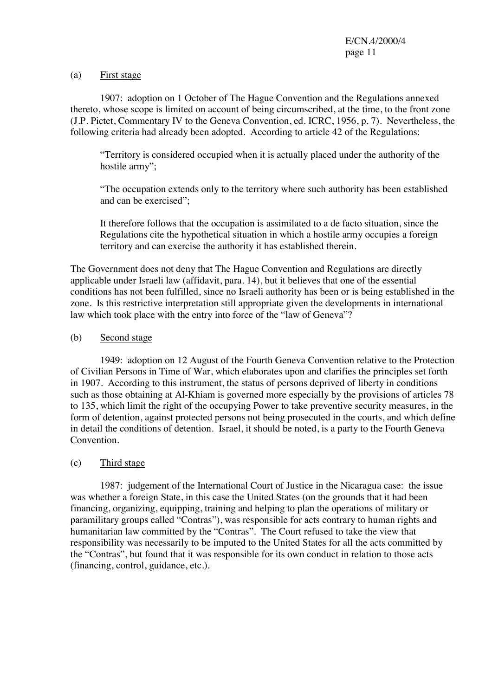#### (a) First stage

1907: adoption on 1 October of The Hague Convention and the Regulations annexed thereto, whose scope is limited on account of being circumscribed, at the time, to the front zone (J.P. Pictet, Commentary IV to the Geneva Convention, ed. ICRC, 1956, p. 7). Nevertheless, the following criteria had already been adopted. According to article 42 of the Regulations:

"Territory is considered occupied when it is actually placed under the authority of the hostile army";

"The occupation extends only to the territory where such authority has been established and can be exercised";

It therefore follows that the occupation is assimilated to a de facto situation, since the Regulations cite the hypothetical situation in which a hostile army occupies a foreign territory and can exercise the authority it has established therein.

The Government does not deny that The Hague Convention and Regulations are directly applicable under Israeli law (affidavit, para. 14), but it believes that one of the essential conditions has not been fulfilled, since no Israeli authority has been or is being established in the zone. Is this restrictive interpretation still appropriate given the developments in international law which took place with the entry into force of the "law of Geneva"?

#### (b) Second stage

1949: adoption on 12 August of the Fourth Geneva Convention relative to the Protection of Civilian Persons in Time of War, which elaborates upon and clarifies the principles set forth in 1907. According to this instrument, the status of persons deprived of liberty in conditions such as those obtaining at Al-Khiam is governed more especially by the provisions of articles 78 to 135, which limit the right of the occupying Power to take preventive security measures, in the form of detention, against protected persons not being prosecuted in the courts, and which define in detail the conditions of detention. Israel, it should be noted, is a party to the Fourth Geneva **Convention** 

## (c) Third stage

1987: judgement of the International Court of Justice in the Nicaragua case: the issue was whether a foreign State, in this case the United States (on the grounds that it had been financing, organizing, equipping, training and helping to plan the operations of military or paramilitary groups called "Contras"), was responsible for acts contrary to human rights and humanitarian law committed by the "Contras". The Court refused to take the view that responsibility was necessarily to be imputed to the United States for all the acts committed by the "Contras", but found that it was responsible for its own conduct in relation to those acts (financing, control, guidance, etc.).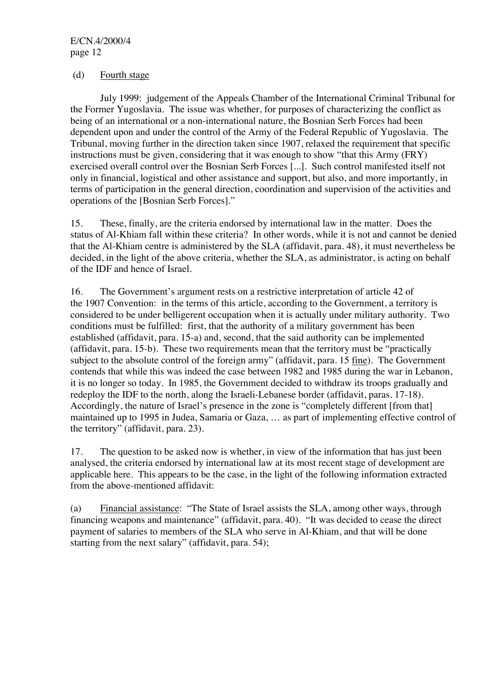#### (d) Fourth stage

July 1999: judgement of the Appeals Chamber of the International Criminal Tribunal for the Former Yugoslavia. The issue was whether, for purposes of characterizing the conflict as being of an international or a non-international nature, the Bosnian Serb Forces had been dependent upon and under the control of the Army of the Federal Republic of Yugoslavia. The Tribunal, moving further in the direction taken since 1907, relaxed the requirement that specific instructions must be given, considering that it was enough to show "that this Army (FRY) exercised overall control over the Bosnian Serb Forces [...]. Such control manifested itself not only in financial, logistical and other assistance and support, but also, and more importantly, in terms of participation in the general direction, coordination and supervision of the activities and operations of the [Bosnian Serb Forces]."

15. These, finally, are the criteria endorsed by international law in the matter. Does the status of Al-Khiam fall within these criteria? In other words, while it is not and cannot be denied that the Al-Khiam centre is administered by the SLA (affidavit, para. 48), it must nevertheless be decided, in the light of the above criteria, whether the SLA, as administrator, is acting on behalf of the IDF and hence of Israel.

16. The Government's argument rests on a restrictive interpretation of article 42 of the 1907 Convention: in the terms of this article, according to the Government, a territory is considered to be under belligerent occupation when it is actually under military authority. Two conditions must be fulfilled: first, that the authority of a military government has been established (affidavit, para. 15-a) and, second, that the said authority can be implemented (affidavit, para. 15-b). These two requirements mean that the territory must be "practically subject to the absolute control of the foreign army" (affidavit, para. 15 fine). The Government contends that while this was indeed the case between 1982 and 1985 during the war in Lebanon, it is no longer so today. In 1985, the Government decided to withdraw its troops gradually and redeploy the IDF to the north, along the Israeli-Lebanese border (affidavit, paras. 17-18). Accordingly, the nature of Israel's presence in the zone is "completely different [from that] maintained up to 1995 in Judea, Samaria or Gaza, … as part of implementing effective control of the territory" (affidavit, para. 23).

17. The question to be asked now is whether, in view of the information that has just been analysed, the criteria endorsed by international law at its most recent stage of development are applicable here. This appears to be the case, in the light of the following information extracted from the above-mentioned affidavit:

(a) Financial assistance: "The State of Israel assists the SLA, among other ways, through financing weapons and maintenance" (affidavit, para. 40). "It was decided to cease the direct payment of salaries to members of the SLA who serve in Al-Khiam, and that will be done starting from the next salary" (affidavit, para. 54);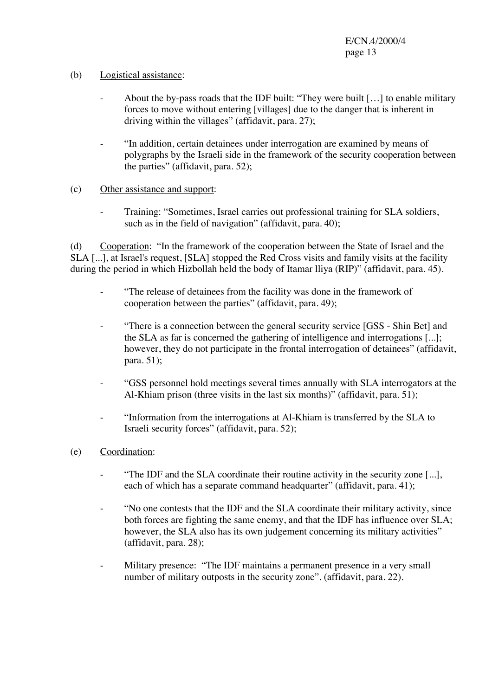## (b) Logistical assistance:

- About the by-pass roads that the IDF built: "They were built [...] to enable military forces to move without entering [villages] due to the danger that is inherent in driving within the villages" (affidavit, para. 27);
- "In addition, certain detainees under interrogation are examined by means of polygraphs by the Israeli side in the framework of the security cooperation between the parties" (affidavit, para. 52);

#### (c) Other assistance and support:

- Training: "Sometimes, Israel carries out professional training for SLA soldiers, such as in the field of navigation" (affidavit, para. 40);

(d) Cooperation: "In the framework of the cooperation between the State of Israel and the SLA [...], at Israel's request, [SLA] stopped the Red Cross visits and family visits at the facility during the period in which Hizbollah held the body of Itamar lliya (RIP)" (affidavit, para. 45).

- "The release of detainees from the facility was done in the framework of cooperation between the parties" (affidavit, para. 49);
- "There is a connection between the general security service [GSS Shin Bet] and the SLA as far is concerned the gathering of intelligence and interrogations [...]; however, they do not participate in the frontal interrogation of detainees" (affidavit, para. 51);
- "GSS personnel hold meetings several times annually with SLA interrogators at the Al-Khiam prison (three visits in the last six months)" (affidavit, para. 51);
- "Information from the interrogations at Al-Khiam is transferred by the SLA to Israeli security forces" (affidavit, para. 52);
- (e) Coordination:
	- "The IDF and the SLA coordinate their routine activity in the security zone [...], each of which has a separate command headquarter" (affidavit, para. 41);
	- "No one contests that the IDF and the SLA coordinate their military activity, since both forces are fighting the same enemy, and that the IDF has influence over SLA; however, the SLA also has its own judgement concerning its military activities" (affidavit, para. 28);
	- Military presence: "The IDF maintains a permanent presence in a very small number of military outposts in the security zone". (affidavit, para. 22).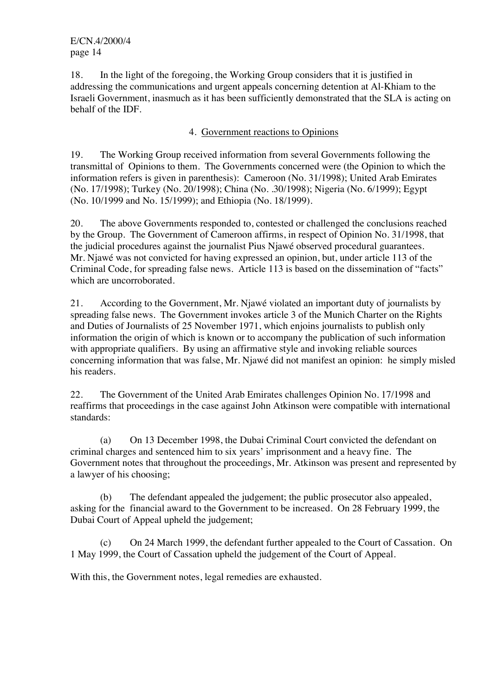18. In the light of the foregoing, the Working Group considers that it is justified in addressing the communications and urgent appeals concerning detention at Al-Khiam to the Israeli Government, inasmuch as it has been sufficiently demonstrated that the SLA is acting on behalf of the IDF.

#### 4. Government reactions to Opinions

19. The Working Group received information from several Governments following the transmittal of Opinions to them. The Governments concerned were (the Opinion to which the information refers is given in parenthesis): Cameroon (No. 31/1998); United Arab Emirates (No. 17/1998); Turkey (No. 20/1998); China (No. .30/1998); Nigeria (No. 6/1999); Egypt (No. 10/1999 and No. 15/1999); and Ethiopia (No. 18/1999).

20. The above Governments responded to, contested or challenged the conclusions reached by the Group. The Government of Cameroon affirms, in respect of Opinion No. 31/1998, that the judicial procedures against the journalist Pius Njawé observed procedural guarantees. Mr. Njawé was not convicted for having expressed an opinion, but, under article 113 of the Criminal Code, for spreading false news. Article 113 is based on the dissemination of "facts" which are uncorroborated.

21. According to the Government, Mr. Njawé violated an important duty of journalists by spreading false news. The Government invokes article 3 of the Munich Charter on the Rights and Duties of Journalists of 25 November 1971, which enjoins journalists to publish only information the origin of which is known or to accompany the publication of such information with appropriate qualifiers. By using an affirmative style and invoking reliable sources concerning information that was false, Mr. Njawé did not manifest an opinion: he simply misled his readers.

22. The Government of the United Arab Emirates challenges Opinion No. 17/1998 and reaffirms that proceedings in the case against John Atkinson were compatible with international standards:

(a) On 13 December 1998, the Dubai Criminal Court convicted the defendant on criminal charges and sentenced him to six years' imprisonment and a heavy fine. The Government notes that throughout the proceedings, Mr. Atkinson was present and represented by a lawyer of his choosing;

(b) The defendant appealed the judgement; the public prosecutor also appealed, asking for the financial award to the Government to be increased. On 28 February 1999, the Dubai Court of Appeal upheld the judgement;

(c) On 24 March 1999, the defendant further appealed to the Court of Cassation. On 1 May 1999, the Court of Cassation upheld the judgement of the Court of Appeal.

With this, the Government notes, legal remedies are exhausted.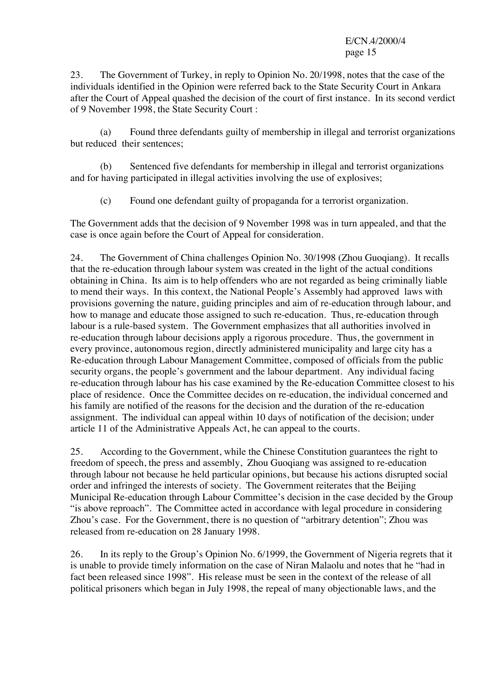23. The Government of Turkey, in reply to Opinion No. 20/1998, notes that the case of the individuals identified in the Opinion were referred back to the State Security Court in Ankara after the Court of Appeal quashed the decision of the court of first instance. In its second verdict of 9 November 1998, the State Security Court :

(a) Found three defendants guilty of membership in illegal and terrorist organizations but reduced their sentences;

(b) Sentenced five defendants for membership in illegal and terrorist organizations and for having participated in illegal activities involving the use of explosives;

(c) Found one defendant guilty of propaganda for a terrorist organization.

The Government adds that the decision of 9 November 1998 was in turn appealed, and that the case is once again before the Court of Appeal for consideration.

24. The Government of China challenges Opinion No. 30/1998 (Zhou Guoqiang). It recalls that the re-education through labour system was created in the light of the actual conditions obtaining in China. Its aim is to help offenders who are not regarded as being criminally liable to mend their ways. In this context, the National People's Assembly had approved laws with provisions governing the nature, guiding principles and aim of re-education through labour, and how to manage and educate those assigned to such re-education. Thus, re-education through labour is a rule-based system. The Government emphasizes that all authorities involved in re-education through labour decisions apply a rigorous procedure. Thus, the government in every province, autonomous region, directly administered municipality and large city has a Re-education through Labour Management Committee, composed of officials from the public security organs, the people's government and the labour department. Any individual facing re-education through labour has his case examined by the Re-education Committee closest to his place of residence. Once the Committee decides on re-education, the individual concerned and his family are notified of the reasons for the decision and the duration of the re-education assignment. The individual can appeal within 10 days of notification of the decision; under article 11 of the Administrative Appeals Act, he can appeal to the courts.

25. According to the Government, while the Chinese Constitution guarantees the right to freedom of speech, the press and assembly, Zhou Guoqiang was assigned to re-education through labour not because he held particular opinions, but because his actions disrupted social order and infringed the interests of society. The Government reiterates that the Beijing Municipal Re-education through Labour Committee's decision in the case decided by the Group "is above reproach". The Committee acted in accordance with legal procedure in considering Zhou's case. For the Government, there is no question of "arbitrary detention"; Zhou was released from re-education on 28 January 1998.

26. In its reply to the Group's Opinion No. 6/1999, the Government of Nigeria regrets that it is unable to provide timely information on the case of Niran Malaolu and notes that he "had in fact been released since 1998". His release must be seen in the context of the release of all political prisoners which began in July 1998, the repeal of many objectionable laws, and the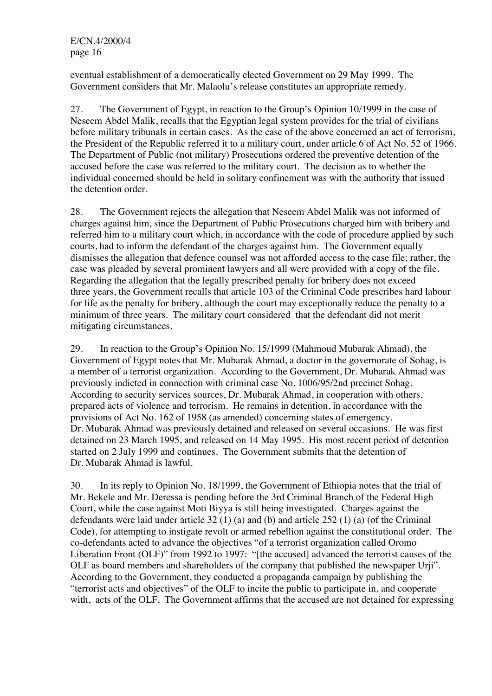eventual establishment of a democratically elected Government on 29 May 1999. The Government considers that Mr. Malaolu's release constitutes an appropriate remedy.

27. The Government of Egypt, in reaction to the Group's Opinion 10/1999 in the case of Neseem Abdel Malik, recalls that the Egyptian legal system provides for the trial of civilians before military tribunals in certain cases. As the case of the above concerned an act of terrorism, the President of the Republic referred it to a military court, under article 6 of Act No. 52 of 1966. The Department of Public (not military) Prosecutions ordered the preventive detention of the accused before the case was referred to the military court. The decision as to whether the individual concerned should be held in solitary confinement was with the authority that issued the detention order.

28. The Government rejects the allegation that Neseem Abdel Malik was not informed of charges against him, since the Department of Public Prosecutions charged him with bribery and referred him to a military court which, in accordance with the code of procedure applied by such courts, had to inform the defendant of the charges against him. The Government equally dismisses the allegation that defence counsel was not afforded access to the case file; rather, the case was pleaded by several prominent lawyers and all were provided with a copy of the file. Regarding the allegation that the legally prescribed penalty for bribery does not exceed three years, the Government recalls that article 103 of the Criminal Code prescribes hard labour for life as the penalty for bribery, although the court may exceptionally reduce the penalty to a minimum of three years. The military court considered that the defendant did not merit mitigating circumstances.

29. In reaction to the Group's Opinion No. 15/1999 (Mahmoud Mubarak Ahmad), the Government of Egypt notes that Mr. Mubarak Ahmad, a doctor in the governorate of Sohag, is a member of a terrorist organization. According to the Government, Dr. Mubarak Ahmad was previously indicted in connection with criminal case No. 1006/95/2nd precinct Sohag. According to security services sources, Dr. Mubarak Ahmad, in cooperation with others, prepared acts of violence and terrorism. He remains in detention, in accordance with the provisions of Act No. 162 of 1958 (as amended) concerning states of emergency. Dr. Mubarak Ahmad was previously detained and released on several occasions. He was first detained on 23 March 1995, and released on 14 May 1995. His most recent period of detention started on 2 July 1999 and continues. The Government submits that the detention of Dr. Mubarak Ahmad is lawful.

30. In its reply to Opinion No. 18/1999, the Government of Ethiopia notes that the trial of Mr. Bekele and Mr. Deressa is pending before the 3rd Criminal Branch of the Federal High Court, while the case against Moti Biyya is still being investigated. Charges against the defendants were laid under article 32 (1) (a) and (b) and article 252 (1) (a) (of the Criminal Code), for attempting to instigate revolt or armed rebellion against the constitutional order. The co-defendants acted to advance the objectives "of a terrorist organization called Oromo Liberation Front (OLF)" from 1992 to 1997: "[the accused] advanced the terrorist causes of the OLF as board members and shareholders of the company that published the newspaper Urji". According to the Government, they conducted a propaganda campaign by publishing the "terrorist acts and objectives" of the OLF to incite the public to participate in, and cooperate with, acts of the OLF. The Government affirms that the accused are not detained for expressing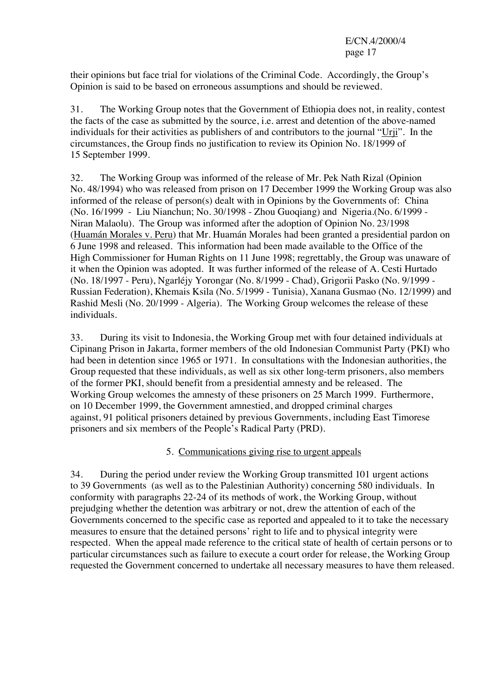their opinions but face trial for violations of the Criminal Code. Accordingly, the Group's Opinion is said to be based on erroneous assumptions and should be reviewed.

31. The Working Group notes that the Government of Ethiopia does not, in reality, contest the facts of the case as submitted by the source, i.e. arrest and detention of the above-named individuals for their activities as publishers of and contributors to the journal "Urji". In the circumstances, the Group finds no justification to review its Opinion No. 18/1999 of 15 September 1999.

32. The Working Group was informed of the release of Mr. Pek Nath Rizal (Opinion No. 48/1994) who was released from prison on 17 December 1999 the Working Group was also informed of the release of person(s) dealt with in Opinions by the Governments of: China (No. 16/1999 - Liu Nianchun; No. 30/1998 - Zhou Guoqiang) and Nigeria.(No. 6/1999 - Niran Malaolu). The Group was informed after the adoption of Opinion No. 23/1998 (Huamán Morales v. Peru) that Mr. Huamán Morales had been granted a presidential pardon on 6 June 1998 and released. This information had been made available to the Office of the High Commissioner for Human Rights on 11 June 1998; regrettably, the Group was unaware of it when the Opinion was adopted. It was further informed of the release of A. Cesti Hurtado (No. 18/1997 - Peru), Ngarléjy Yorongar (No. 8/1999 - Chad), Grigorii Pasko (No. 9/1999 - Russian Federation), Khemais Ksila (No. 5/1999 - Tunisia), Xanana Gusmao (No. 12/1999) and Rashid Mesli (No. 20/1999 - Algeria). The Working Group welcomes the release of these individuals.

33. During its visit to Indonesia, the Working Group met with four detained individuals at Cipinang Prison in Jakarta, former members of the old Indonesian Communist Party (PKI) who had been in detention since 1965 or 1971. In consultations with the Indonesian authorities, the Group requested that these individuals, as well as six other long-term prisoners, also members of the former PKI, should benefit from a presidential amnesty and be released. The Working Group welcomes the amnesty of these prisoners on 25 March 1999. Furthermore, on 10 December 1999, the Government amnestied, and dropped criminal charges against, 91 political prisoners detained by previous Governments, including East Timorese prisoners and six members of the People's Radical Party (PRD).

# 5. Communications giving rise to urgent appeals

34. During the period under review the Working Group transmitted 101 urgent actions to 39 Governments (as well as to the Palestinian Authority) concerning 580 individuals. In conformity with paragraphs 22-24 of its methods of work, the Working Group, without prejudging whether the detention was arbitrary or not, drew the attention of each of the Governments concerned to the specific case as reported and appealed to it to take the necessary measures to ensure that the detained persons' right to life and to physical integrity were respected. When the appeal made reference to the critical state of health of certain persons or to particular circumstances such as failure to execute a court order for release, the Working Group requested the Government concerned to undertake all necessary measures to have them released.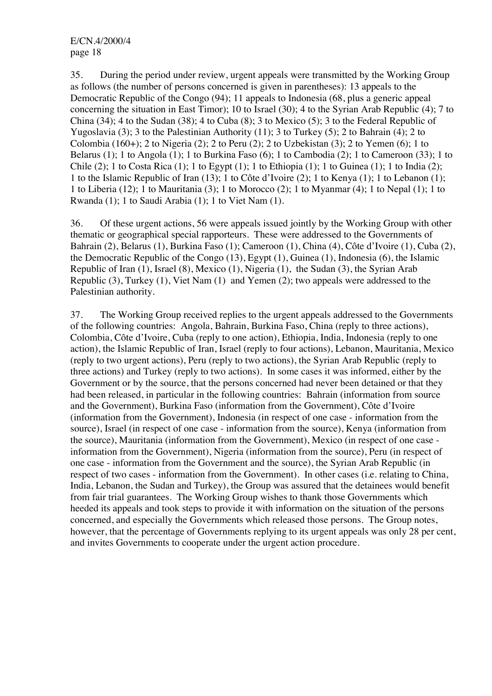35. During the period under review, urgent appeals were transmitted by the Working Group as follows (the number of persons concerned is given in parentheses): 13 appeals to the Democratic Republic of the Congo (94); 11 appeals to Indonesia (68, plus a generic appeal concerning the situation in East Timor); 10 to Israel (30); 4 to the Syrian Arab Republic (4); 7 to China (34); 4 to the Sudan (38); 4 to Cuba (8); 3 to Mexico (5); 3 to the Federal Republic of Yugoslavia (3); 3 to the Palestinian Authority (11); 3 to Turkey (5); 2 to Bahrain (4); 2 to Colombia (160+); 2 to Nigeria (2); 2 to Peru (2); 2 to Uzbekistan (3); 2 to Yemen (6); 1 to Belarus (1); 1 to Angola (1); 1 to Burkina Faso (6); 1 to Cambodia (2); 1 to Cameroon (33); 1 to Chile (2); 1 to Costa Rica (1); 1 to Egypt (1); 1 to Ethiopia (1); 1 to Guinea (1); 1 to India (2); 1 to the Islamic Republic of Iran (13); 1 to Côte d'Ivoire (2); 1 to Kenya (1); 1 to Lebanon (1); 1 to Liberia (12); 1 to Mauritania (3); 1 to Morocco (2); 1 to Myanmar (4); 1 to Nepal (1); 1 to Rwanda (1); 1 to Saudi Arabia (1); 1 to Viet Nam (1).

36. Of these urgent actions, 56 were appeals issued jointly by the Working Group with other thematic or geographical special rapporteurs. These were addressed to the Governments of Bahrain (2), Belarus (1), Burkina Faso (1); Cameroon (1), China (4), Côte d'Ivoire (1), Cuba (2), the Democratic Republic of the Congo (13), Egypt (1), Guinea (1), Indonesia (6), the Islamic Republic of Iran (1), Israel (8), Mexico (1), Nigeria (1), the Sudan (3), the Syrian Arab Republic (3), Turkey (1), Viet Nam (1) and Yemen (2); two appeals were addressed to the Palestinian authority.

37. The Working Group received replies to the urgent appeals addressed to the Governments of the following countries: Angola, Bahrain, Burkina Faso, China (reply to three actions), Colombia, Côte d'Ivoire, Cuba (reply to one action), Ethiopia, India, Indonesia (reply to one action), the Islamic Republic of Iran, Israel (reply to four actions), Lebanon, Mauritania, Mexico (reply to two urgent actions), Peru (reply to two actions), the Syrian Arab Republic (reply to three actions) and Turkey (reply to two actions). In some cases it was informed, either by the Government or by the source, that the persons concerned had never been detained or that they had been released, in particular in the following countries: Bahrain (information from source and the Government), Burkina Faso (information from the Government), Côte d'Ivoire (information from the Government), Indonesia (in respect of one case - information from the source), Israel (in respect of one case - information from the source), Kenya (information from the source), Mauritania (information from the Government), Mexico (in respect of one case information from the Government), Nigeria (information from the source), Peru (in respect of one case - information from the Government and the source), the Syrian Arab Republic (in respect of two cases - information from the Government). In other cases (i.e. relating to China, India, Lebanon, the Sudan and Turkey), the Group was assured that the detainees would benefit from fair trial guarantees. The Working Group wishes to thank those Governments which heeded its appeals and took steps to provide it with information on the situation of the persons concerned, and especially the Governments which released those persons. The Group notes, however, that the percentage of Governments replying to its urgent appeals was only 28 per cent, and invites Governments to cooperate under the urgent action procedure.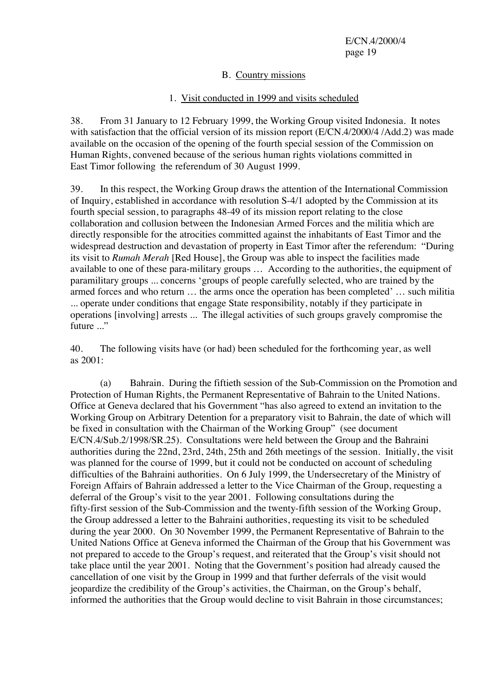## B. Country missions

#### 1. Visit conducted in 1999 and visits scheduled

38. From 31 January to 12 February 1999, the Working Group visited Indonesia. It notes with satisfaction that the official version of its mission report (E/CN.4/2000/4 /Add.2) was made available on the occasion of the opening of the fourth special session of the Commission on Human Rights, convened because of the serious human rights violations committed in East Timor following the referendum of 30 August 1999.

39. In this respect, the Working Group draws the attention of the International Commission of Inquiry, established in accordance with resolution S-4/1 adopted by the Commission at its fourth special session, to paragraphs 48-49 of its mission report relating to the close collaboration and collusion between the Indonesian Armed Forces and the militia which are directly responsible for the atrocities committed against the inhabitants of East Timor and the widespread destruction and devastation of property in East Timor after the referendum: "During its visit to *Rumah Merah* [Red House], the Group was able to inspect the facilities made available to one of these para-military groups … According to the authorities, the equipment of paramilitary groups ... concerns 'groups of people carefully selected, who are trained by the armed forces and who return … the arms once the operation has been completed' … such militia ... operate under conditions that engage State responsibility, notably if they participate in operations [involving] arrests ... The illegal activities of such groups gravely compromise the future ..."

40. The following visits have (or had) been scheduled for the forthcoming year, as well as  $2001$ 

(a) Bahrain. During the fiftieth session of the Sub-Commission on the Promotion and Protection of Human Rights, the Permanent Representative of Bahrain to the United Nations. Office at Geneva declared that his Government "has also agreed to extend an invitation to the Working Group on Arbitrary Detention for a preparatory visit to Bahrain, the date of which will be fixed in consultation with the Chairman of the Working Group" (see document E/CN.4/Sub.2/1998/SR.25). Consultations were held between the Group and the Bahraini authorities during the 22nd, 23rd, 24th, 25th and 26th meetings of the session. Initially, the visit was planned for the course of 1999, but it could not be conducted on account of scheduling difficulties of the Bahraini authorities. On 6 July 1999, the Undersecretary of the Ministry of Foreign Affairs of Bahrain addressed a letter to the Vice Chairman of the Group, requesting a deferral of the Group's visit to the year 2001. Following consultations during the fifty-first session of the Sub-Commission and the twenty-fifth session of the Working Group, the Group addressed a letter to the Bahraini authorities, requesting its visit to be scheduled during the year 2000. On 30 November 1999, the Permanent Representative of Bahrain to the United Nations Office at Geneva informed the Chairman of the Group that his Government was not prepared to accede to the Group's request, and reiterated that the Group's visit should not take place until the year 2001. Noting that the Government's position had already caused the cancellation of one visit by the Group in 1999 and that further deferrals of the visit would jeopardize the credibility of the Group's activities, the Chairman, on the Group's behalf, informed the authorities that the Group would decline to visit Bahrain in those circumstances;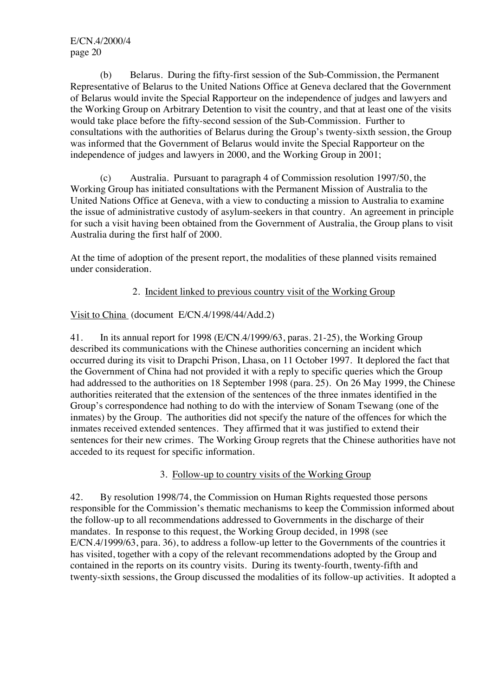(b) Belarus. During the fifty-first session of the Sub-Commission, the Permanent Representative of Belarus to the United Nations Office at Geneva declared that the Government of Belarus would invite the Special Rapporteur on the independence of judges and lawyers and the Working Group on Arbitrary Detention to visit the country, and that at least one of the visits would take place before the fifty-second session of the Sub-Commission. Further to consultations with the authorities of Belarus during the Group's twenty-sixth session, the Group was informed that the Government of Belarus would invite the Special Rapporteur on the independence of judges and lawyers in 2000, and the Working Group in 2001;

(c) Australia. Pursuant to paragraph 4 of Commission resolution 1997/50, the Working Group has initiated consultations with the Permanent Mission of Australia to the United Nations Office at Geneva, with a view to conducting a mission to Australia to examine the issue of administrative custody of asylum-seekers in that country. An agreement in principle for such a visit having been obtained from the Government of Australia, the Group plans to visit Australia during the first half of 2000.

At the time of adoption of the present report, the modalities of these planned visits remained under consideration.

## 2. Incident linked to previous country visit of the Working Group

## Visit to China (document E/CN.4/1998/44/Add.2)

41. In its annual report for 1998 (E/CN.4/1999/63, paras. 21-25), the Working Group described its communications with the Chinese authorities concerning an incident which occurred during its visit to Drapchi Prison, Lhasa, on 11 October 1997. It deplored the fact that the Government of China had not provided it with a reply to specific queries which the Group had addressed to the authorities on 18 September 1998 (para. 25). On 26 May 1999, the Chinese authorities reiterated that the extension of the sentences of the three inmates identified in the Group's correspondence had nothing to do with the interview of Sonam Tsewang (one of the inmates) by the Group. The authorities did not specify the nature of the offences for which the inmates received extended sentences. They affirmed that it was justified to extend their sentences for their new crimes. The Working Group regrets that the Chinese authorities have not acceded to its request for specific information.

## 3. Follow-up to country visits of the Working Group

42. By resolution 1998/74, the Commission on Human Rights requested those persons responsible for the Commission's thematic mechanisms to keep the Commission informed about the follow-up to all recommendations addressed to Governments in the discharge of their mandates. In response to this request, the Working Group decided, in 1998 (see E/CN.4/1999/63, para. 36), to address a follow-up letter to the Governments of the countries it has visited, together with a copy of the relevant recommendations adopted by the Group and contained in the reports on its country visits. During its twenty-fourth, twenty-fifth and twenty-sixth sessions, the Group discussed the modalities of its follow-up activities. It adopted a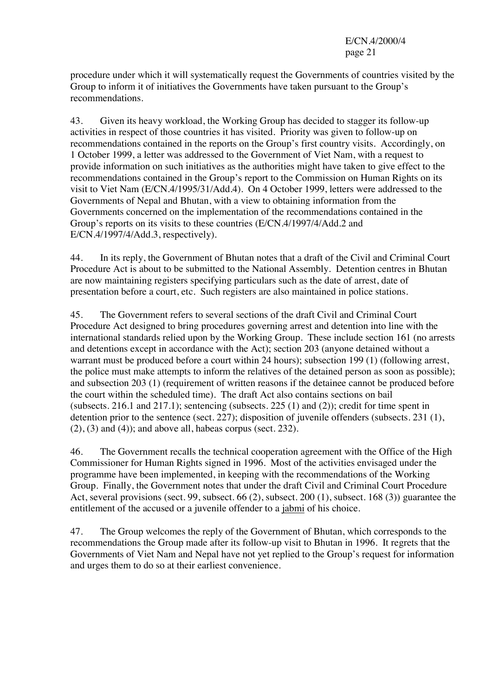procedure under which it will systematically request the Governments of countries visited by the Group to inform it of initiatives the Governments have taken pursuant to the Group's recommendations.

43. Given its heavy workload, the Working Group has decided to stagger its follow-up activities in respect of those countries it has visited. Priority was given to follow-up on recommendations contained in the reports on the Group's first country visits. Accordingly, on 1 October 1999, a letter was addressed to the Government of Viet Nam, with a request to provide information on such initiatives as the authorities might have taken to give effect to the recommendations contained in the Group's report to the Commission on Human Rights on its visit to Viet Nam (E/CN.4/1995/31/Add.4). On 4 October 1999, letters were addressed to the Governments of Nepal and Bhutan, with a view to obtaining information from the Governments concerned on the implementation of the recommendations contained in the Group's reports on its visits to these countries (E/CN.4/1997/4/Add.2 and E/CN.4/1997/4/Add.3, respectively).

44. In its reply, the Government of Bhutan notes that a draft of the Civil and Criminal Court Procedure Act is about to be submitted to the National Assembly. Detention centres in Bhutan are now maintaining registers specifying particulars such as the date of arrest, date of presentation before a court, etc. Such registers are also maintained in police stations.

45. The Government refers to several sections of the draft Civil and Criminal Court Procedure Act designed to bring procedures governing arrest and detention into line with the international standards relied upon by the Working Group. These include section 161 (no arrests and detentions except in accordance with the Act); section 203 (anyone detained without a warrant must be produced before a court within 24 hours); subsection 199 (1) (following arrest, the police must make attempts to inform the relatives of the detained person as soon as possible); and subsection 203 (1) (requirement of written reasons if the detainee cannot be produced before the court within the scheduled time). The draft Act also contains sections on bail (subsects. 216.1 and 217.1); sentencing (subsects. 225  $(1)$  and  $(2)$ ); credit for time spent in detention prior to the sentence (sect. 227); disposition of juvenile offenders (subsects. 231 (1),  $(2)$ ,  $(3)$  and  $(4)$ ); and above all, habeas corpus (sect. 232).

46. The Government recalls the technical cooperation agreement with the Office of the High Commissioner for Human Rights signed in 1996. Most of the activities envisaged under the programme have been implemented, in keeping with the recommendations of the Working Group. Finally, the Government notes that under the draft Civil and Criminal Court Procedure Act, several provisions (sect. 99, subsect. 66 (2), subsect. 200 (1), subsect. 168 (3)) guarantee the entitlement of the accused or a juvenile offender to a jabmi of his choice.

47. The Group welcomes the reply of the Government of Bhutan, which corresponds to the recommendations the Group made after its follow-up visit to Bhutan in 1996. It regrets that the Governments of Viet Nam and Nepal have not yet replied to the Group's request for information and urges them to do so at their earliest convenience.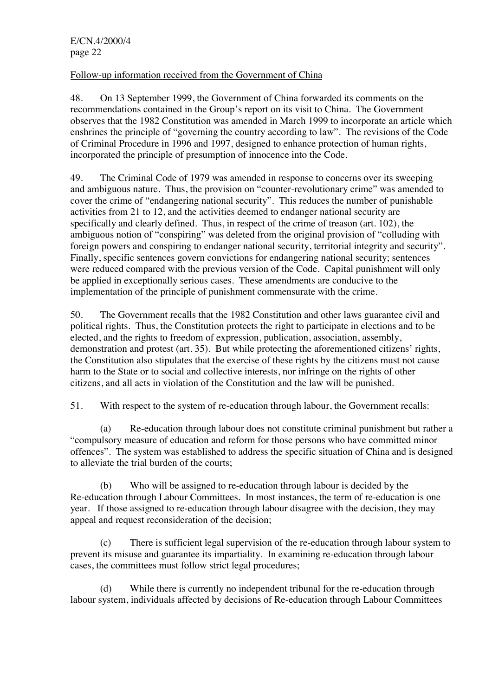Follow-up information received from the Government of China

48. On 13 September 1999, the Government of China forwarded its comments on the recommendations contained in the Group's report on its visit to China. The Government observes that the 1982 Constitution was amended in March 1999 to incorporate an article which enshrines the principle of "governing the country according to law". The revisions of the Code of Criminal Procedure in 1996 and 1997, designed to enhance protection of human rights, incorporated the principle of presumption of innocence into the Code.

49. The Criminal Code of 1979 was amended in response to concerns over its sweeping and ambiguous nature. Thus, the provision on "counter-revolutionary crime" was amended to cover the crime of "endangering national security". This reduces the number of punishable activities from 21 to 12, and the activities deemed to endanger national security are specifically and clearly defined. Thus, in respect of the crime of treason (art. 102), the ambiguous notion of "conspiring" was deleted from the original provision of "colluding with foreign powers and conspiring to endanger national security, territorial integrity and security". Finally, specific sentences govern convictions for endangering national security; sentences were reduced compared with the previous version of the Code. Capital punishment will only be applied in exceptionally serious cases. These amendments are conducive to the implementation of the principle of punishment commensurate with the crime.

50. The Government recalls that the 1982 Constitution and other laws guarantee civil and political rights. Thus, the Constitution protects the right to participate in elections and to be elected, and the rights to freedom of expression, publication, association, assembly, demonstration and protest (art. 35). But while protecting the aforementioned citizens' rights, the Constitution also stipulates that the exercise of these rights by the citizens must not cause harm to the State or to social and collective interests, nor infringe on the rights of other citizens, and all acts in violation of the Constitution and the law will be punished.

51. With respect to the system of re-education through labour, the Government recalls:

(a) Re-education through labour does not constitute criminal punishment but rather a "compulsory measure of education and reform for those persons who have committed minor offences". The system was established to address the specific situation of China and is designed to alleviate the trial burden of the courts;

(b) Who will be assigned to re-education through labour is decided by the Re-education through Labour Committees. In most instances, the term of re-education is one year. If those assigned to re-education through labour disagree with the decision, they may appeal and request reconsideration of the decision;

(c) There is sufficient legal supervision of the re-education through labour system to prevent its misuse and guarantee its impartiality. In examining re-education through labour cases, the committees must follow strict legal procedures;

(d) While there is currently no independent tribunal for the re-education through labour system, individuals affected by decisions of Re-education through Labour Committees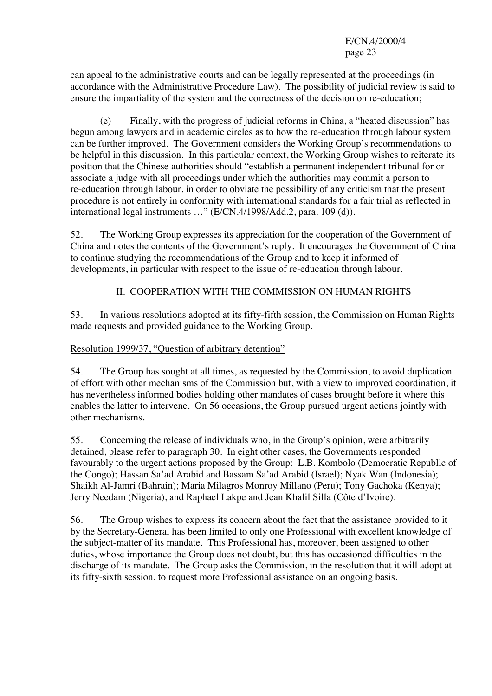can appeal to the administrative courts and can be legally represented at the proceedings (in accordance with the Administrative Procedure Law). The possibility of judicial review is said to ensure the impartiality of the system and the correctness of the decision on re-education;

(e) Finally, with the progress of judicial reforms in China, a "heated discussion" has begun among lawyers and in academic circles as to how the re-education through labour system can be further improved. The Government considers the Working Group's recommendations to be helpful in this discussion. In this particular context, the Working Group wishes to reiterate its position that the Chinese authorities should "establish a permanent independent tribunal for or associate a judge with all proceedings under which the authorities may commit a person to re-education through labour, in order to obviate the possibility of any criticism that the present procedure is not entirely in conformity with international standards for a fair trial as reflected in international legal instruments …" (E/CN.4/1998/Add.2, para. 109 (d)).

52. The Working Group expresses its appreciation for the cooperation of the Government of China and notes the contents of the Government's reply. It encourages the Government of China to continue studying the recommendations of the Group and to keep it informed of developments, in particular with respect to the issue of re-education through labour.

## II. COOPERATION WITH THE COMMISSION ON HUMAN RIGHTS

53. In various resolutions adopted at its fifty-fifth session, the Commission on Human Rights made requests and provided guidance to the Working Group.

## Resolution 1999/37, "Question of arbitrary detention"

54. The Group has sought at all times, as requested by the Commission, to avoid duplication of effort with other mechanisms of the Commission but, with a view to improved coordination, it has nevertheless informed bodies holding other mandates of cases brought before it where this enables the latter to intervene. On 56 occasions, the Group pursued urgent actions jointly with other mechanisms.

55. Concerning the release of individuals who, in the Group's opinion, were arbitrarily detained, please refer to paragraph 30. In eight other cases, the Governments responded favourably to the urgent actions proposed by the Group: L.B. Kombolo (Democratic Republic of the Congo); Hassan Sa'ad Arabid and Bassam Sa'ad Arabid (Israel); Nyak Wan (Indonesia); Shaikh Al-Jamri (Bahrain); Maria Milagros Monroy Millano (Peru); Tony Gachoka (Kenya); Jerry Needam (Nigeria), and Raphael Lakpe and Jean Khalil Silla (Côte d'Ivoire).

56. The Group wishes to express its concern about the fact that the assistance provided to it by the Secretary-General has been limited to only one Professional with excellent knowledge of the subject-matter of its mandate. This Professional has, moreover, been assigned to other duties, whose importance the Group does not doubt, but this has occasioned difficulties in the discharge of its mandate. The Group asks the Commission, in the resolution that it will adopt at its fifty-sixth session, to request more Professional assistance on an ongoing basis.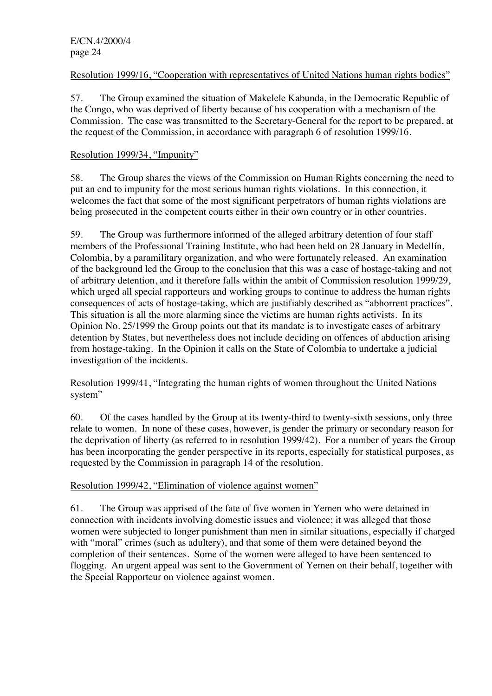## Resolution 1999/16, "Cooperation with representatives of United Nations human rights bodies"

57. The Group examined the situation of Makelele Kabunda, in the Democratic Republic of the Congo, who was deprived of liberty because of his cooperation with a mechanism of the Commission. The case was transmitted to the Secretary-General for the report to be prepared, at the request of the Commission, in accordance with paragraph 6 of resolution 1999/16.

## Resolution 1999/34, "Impunity"

58. The Group shares the views of the Commission on Human Rights concerning the need to put an end to impunity for the most serious human rights violations. In this connection, it welcomes the fact that some of the most significant perpetrators of human rights violations are being prosecuted in the competent courts either in their own country or in other countries.

59. The Group was furthermore informed of the alleged arbitrary detention of four staff members of the Professional Training Institute, who had been held on 28 January in Medellín, Colombia, by a paramilitary organization, and who were fortunately released. An examination of the background led the Group to the conclusion that this was a case of hostage-taking and not of arbitrary detention, and it therefore falls within the ambit of Commission resolution 1999/29, which urged all special rapporteurs and working groups to continue to address the human rights consequences of acts of hostage-taking, which are justifiably described as "abhorrent practices". This situation is all the more alarming since the victims are human rights activists. In its Opinion No. 25/1999 the Group points out that its mandate is to investigate cases of arbitrary detention by States, but nevertheless does not include deciding on offences of abduction arising from hostage-taking. In the Opinion it calls on the State of Colombia to undertake a judicial investigation of the incidents.

Resolution 1999/41, "Integrating the human rights of women throughout the United Nations system"

60. Of the cases handled by the Group at its twenty-third to twenty-sixth sessions, only three relate to women. In none of these cases, however, is gender the primary or secondary reason for the deprivation of liberty (as referred to in resolution 1999/42). For a number of years the Group has been incorporating the gender perspective in its reports, especially for statistical purposes, as requested by the Commission in paragraph 14 of the resolution.

#### Resolution 1999/42, "Elimination of violence against women"

61. The Group was apprised of the fate of five women in Yemen who were detained in connection with incidents involving domestic issues and violence; it was alleged that those women were subjected to longer punishment than men in similar situations, especially if charged with "moral" crimes (such as adultery), and that some of them were detained beyond the completion of their sentences. Some of the women were alleged to have been sentenced to flogging. An urgent appeal was sent to the Government of Yemen on their behalf, together with the Special Rapporteur on violence against women.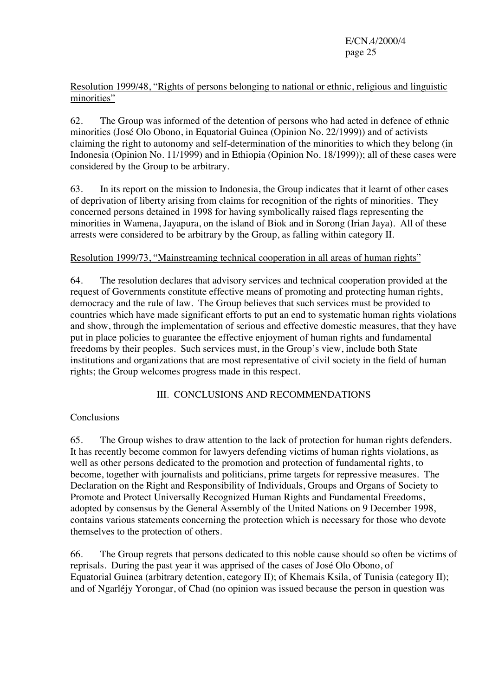## Resolution 1999/48, "Rights of persons belonging to national or ethnic, religious and linguistic minorities"

62. The Group was informed of the detention of persons who had acted in defence of ethnic minorities (José Olo Obono, in Equatorial Guinea (Opinion No. 22/1999)) and of activists claiming the right to autonomy and self-determination of the minorities to which they belong (in Indonesia (Opinion No. 11/1999) and in Ethiopia (Opinion No. 18/1999)); all of these cases were considered by the Group to be arbitrary.

63. In its report on the mission to Indonesia, the Group indicates that it learnt of other cases of deprivation of liberty arising from claims for recognition of the rights of minorities. They concerned persons detained in 1998 for having symbolically raised flags representing the minorities in Wamena, Jayapura, on the island of Biok and in Sorong (Irian Jaya). All of these arrests were considered to be arbitrary by the Group, as falling within category II.

## Resolution 1999/73, "Mainstreaming technical cooperation in all areas of human rights"

64. The resolution declares that advisory services and technical cooperation provided at the request of Governments constitute effective means of promoting and protecting human rights, democracy and the rule of law. The Group believes that such services must be provided to countries which have made significant efforts to put an end to systematic human rights violations and show, through the implementation of serious and effective domestic measures, that they have put in place policies to guarantee the effective enjoyment of human rights and fundamental freedoms by their peoples. Such services must, in the Group's view, include both State institutions and organizations that are most representative of civil society in the field of human rights; the Group welcomes progress made in this respect.

## III. CONCLUSIONS AND RECOMMENDATIONS

## Conclusions

65. The Group wishes to draw attention to the lack of protection for human rights defenders. It has recently become common for lawyers defending victims of human rights violations, as well as other persons dedicated to the promotion and protection of fundamental rights, to become, together with journalists and politicians, prime targets for repressive measures. The Declaration on the Right and Responsibility of Individuals, Groups and Organs of Society to Promote and Protect Universally Recognized Human Rights and Fundamental Freedoms, adopted by consensus by the General Assembly of the United Nations on 9 December 1998, contains various statements concerning the protection which is necessary for those who devote themselves to the protection of others.

66. The Group regrets that persons dedicated to this noble cause should so often be victims of reprisals. During the past year it was apprised of the cases of José Olo Obono, of Equatorial Guinea (arbitrary detention, category II); of Khemais Ksila, of Tunisia (category II); and of Ngarléjy Yorongar, of Chad (no opinion was issued because the person in question was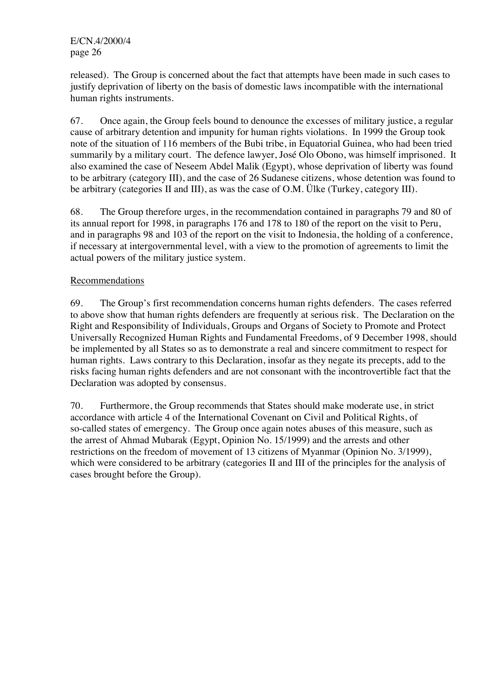released). The Group is concerned about the fact that attempts have been made in such cases to justify deprivation of liberty on the basis of domestic laws incompatible with the international human rights instruments.

67. Once again, the Group feels bound to denounce the excesses of military justice, a regular cause of arbitrary detention and impunity for human rights violations. In 1999 the Group took note of the situation of 116 members of the Bubi tribe, in Equatorial Guinea, who had been tried summarily by a military court. The defence lawyer, José Olo Obono, was himself imprisoned. It also examined the case of Neseem Abdel Malik (Egypt), whose deprivation of liberty was found to be arbitrary (category III), and the case of 26 Sudanese citizens, whose detention was found to be arbitrary (categories II and III), as was the case of O.M. Ülke (Turkey, category III).

68. The Group therefore urges, in the recommendation contained in paragraphs 79 and 80 of its annual report for 1998, in paragraphs 176 and 178 to 180 of the report on the visit to Peru, and in paragraphs 98 and 103 of the report on the visit to Indonesia, the holding of a conference, if necessary at intergovernmental level, with a view to the promotion of agreements to limit the actual powers of the military justice system.

## Recommendations

69. The Group's first recommendation concerns human rights defenders. The cases referred to above show that human rights defenders are frequently at serious risk. The Declaration on the Right and Responsibility of Individuals, Groups and Organs of Society to Promote and Protect Universally Recognized Human Rights and Fundamental Freedoms, of 9 December 1998, should be implemented by all States so as to demonstrate a real and sincere commitment to respect for human rights. Laws contrary to this Declaration, insofar as they negate its precepts, add to the risks facing human rights defenders and are not consonant with the incontrovertible fact that the Declaration was adopted by consensus.

70. Furthermore, the Group recommends that States should make moderate use, in strict accordance with article 4 of the International Covenant on Civil and Political Rights, of so-called states of emergency. The Group once again notes abuses of this measure, such as the arrest of Ahmad Mubarak (Egypt, Opinion No. 15/1999) and the arrests and other restrictions on the freedom of movement of 13 citizens of Myanmar (Opinion No. 3/1999), which were considered to be arbitrary (categories II and III of the principles for the analysis of cases brought before the Group).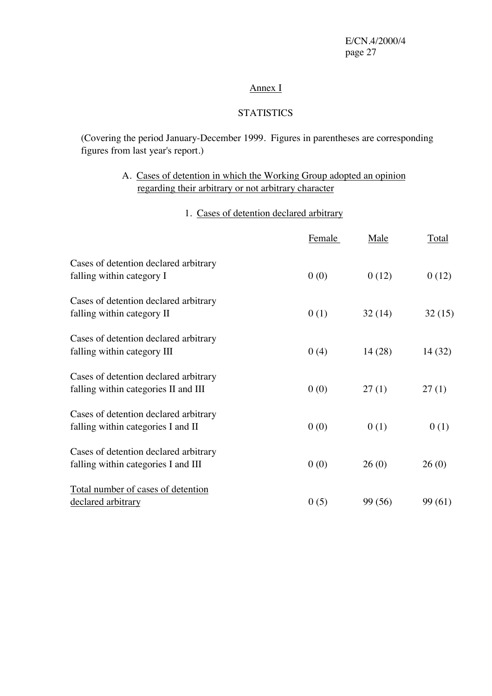## Annex I

## **STATISTICS**

(Covering the period January-December 1999. Figures in parentheses are corresponding figures from last year's report.)

# A. Cases of detention in which the Working Group adopted an opinion regarding their arbitrary or not arbitrary character

# 1. Cases of detention declared arbitrary

|                                                                               | <b>Female</b> | <u>Male</u> | <b>Total</b> |
|-------------------------------------------------------------------------------|---------------|-------------|--------------|
| Cases of detention declared arbitrary<br>falling within category I            | 0(0)          | 0(12)       | 0(12)        |
| Cases of detention declared arbitrary<br>falling within category II           | 0(1)          | 32(14)      | 32(15)       |
| Cases of detention declared arbitrary<br>falling within category III          | 0(4)          | 14(28)      | 14 (32)      |
| Cases of detention declared arbitrary<br>falling within categories II and III | 0(0)          | 27(1)       | 27(1)        |
| Cases of detention declared arbitrary<br>falling within categories I and II   | 0(0)          | 0(1)        | 0(1)         |
| Cases of detention declared arbitrary<br>falling within categories I and III  | 0(0)          | 26(0)       | 26(0)        |
| Total number of cases of detention<br>declared arbitrary                      | 0(5)          | 99 (56)     | 99 (61)      |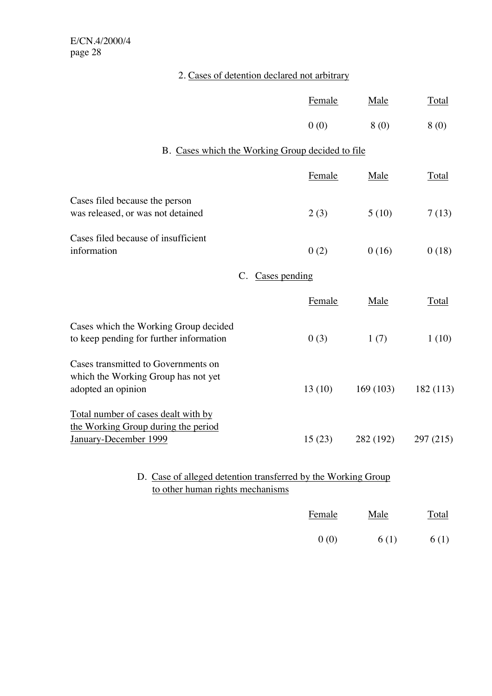| 2. Cases of detention declared not arbitrary |
|----------------------------------------------|
|----------------------------------------------|

|                                                                                                     | Female        | Male      | <b>Total</b> |  |  |  |
|-----------------------------------------------------------------------------------------------------|---------------|-----------|--------------|--|--|--|
|                                                                                                     | 0(0)          | 8(0)      | 8(0)         |  |  |  |
| B. Cases which the Working Group decided to file                                                    |               |           |              |  |  |  |
|                                                                                                     | Female        | Male      | <b>Total</b> |  |  |  |
| Cases filed because the person<br>was released, or was not detained                                 | 2(3)          | 5(10)     | 7(13)        |  |  |  |
| Cases filed because of insufficient<br>information                                                  | 0(2)          | 0(16)     | 0(18)        |  |  |  |
| C.                                                                                                  | Cases pending |           |              |  |  |  |
|                                                                                                     | Female        | Male      | <b>Total</b> |  |  |  |
| Cases which the Working Group decided<br>to keep pending for further information                    | 0(3)          | 1(7)      | 1(10)        |  |  |  |
| Cases transmitted to Governments on<br>which the Working Group has not yet<br>adopted an opinion    | 13(10)        | 169(103)  | 182 (113)    |  |  |  |
| Total number of cases dealt with by<br>the Working Group during the period<br>January-December 1999 | 15(23)        | 282 (192) | 297 (215)    |  |  |  |
| D. Case of alleged detention transferred by the Working Group<br>to other human rights mechanisms   |               |           |              |  |  |  |
|                                                                                                     | Female        | Male      | Total        |  |  |  |

0 (0) 6 (1) 6 (1)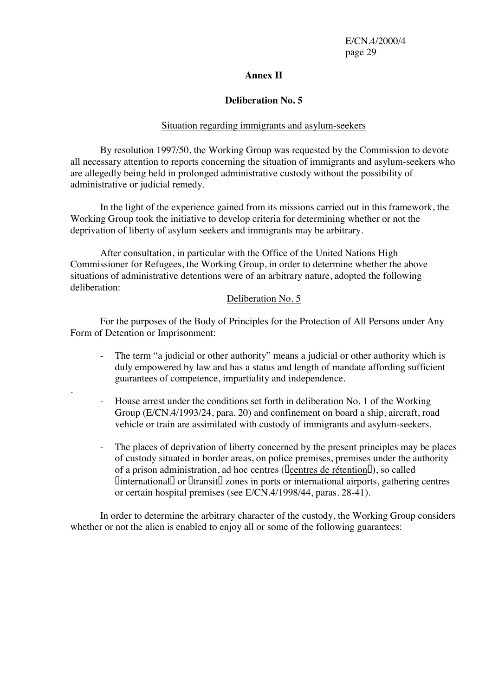#### **Annex II**

#### **Deliberation No. 5**

#### Situation regarding immigrants and asylum-seekers

By resolution 1997/50, the Working Group was requested by the Commission to devote all necessary attention to reports concerning the situation of immigrants and asylum-seekers who are allegedly being held in prolonged administrative custody without the possibility of administrative or judicial remedy.

In the light of the experience gained from its missions carried out in this framework, the Working Group took the initiative to develop criteria for determining whether or not the deprivation of liberty of asylum seekers and immigrants may be arbitrary.

After consultation, in particular with the Office of the United Nations High Commissioner for Refugees, the Working Group, in order to determine whether the above situations of administrative detentions were of an arbitrary nature, adopted the following deliberation:

#### Deliberation No. 5

For the purposes of the Body of Principles for the Protection of All Persons under Any Form of Detention or Imprisonment:

.

- The term "a judicial or other authority" means a judicial or other authority which is duly empowered by law and has a status and length of mandate affording sufficient guarantees of competence, impartiality and independence.
- House arrest under the conditions set forth in deliberation No. 1 of the Working Group (E/CN.4/1993/24, para. 20) and confinement on board a ship, aircraft, road vehicle or train are assimilated with custody of immigrants and asylum-seekers.
- The places of deprivation of liberty concerned by the present principles may be places of custody situated in border areas, on police premises, premises under the authority of a prison administration, ad hoc centres ([centres de rétention]]), so called Uinternational□ or □transit□ zones in ports or international airports, gathering centres or certain hospital premises (see E/CN.4/1998/44, paras. 28-41).

In order to determine the arbitrary character of the custody, the Working Group considers whether or not the alien is enabled to enjoy all or some of the following guarantees: